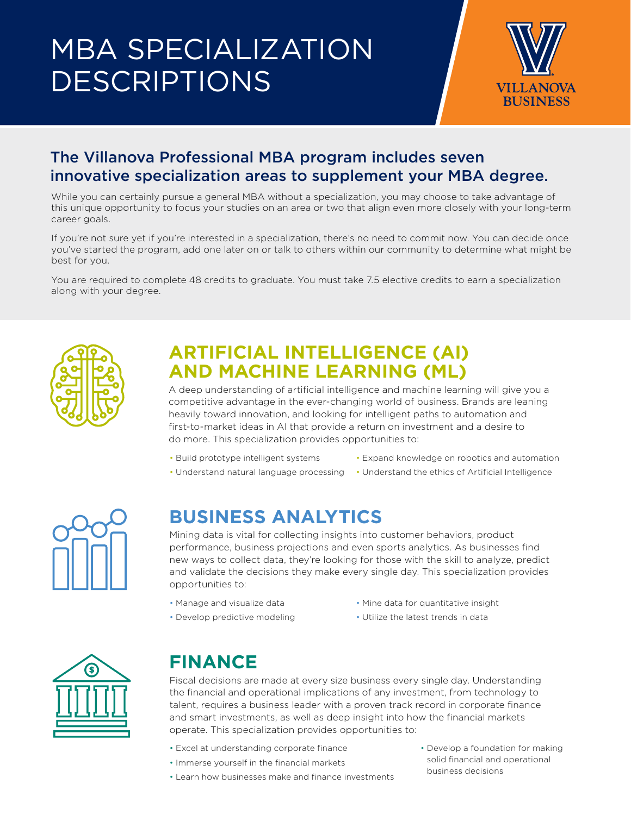# MBA SPECIALIZATION DESCRIPTIONS



#### The Villanova Professional MBA program includes seven innovative specialization areas to supplement your MBA degree.

While you can certainly pursue a general MBA without a specialization, you may choose to take advantage of this unique opportunity to focus your studies on an area or two that align even more closely with your long-term career goals.

If you're not sure yet if you're interested in a specialization, there's no need to commit now. You can decide once you've started the program, add one later on or talk to others within our community to determine what might be best for you.

You are required to complete 48 credits to graduate. You must take 7.5 elective credits to earn a specialization along with your degree.



### **ARTIFICIAL INTELLIGENCE (AI) AND MACHINE LEARNING (ML)**

A deep understanding of artificial intelligence and machine learning will give you a competitive advantage in the ever-changing world of business. Brands are leaning heavily toward innovation, and looking for intelligent paths to automation and first-to-market ideas in AI that provide a return on investment and a desire to do more. This specialization provides opportunities to:

- Build prototype intelligent systems
- Expand knowledge on robotics and automation
- Understand natural language processing Understand the ethics of Artificial Intelligence

#### **BUSINESS ANALYTICS**

Mining data is vital for collecting insights into customer behaviors, product performance, business projections and even sports analytics. As businesses find new ways to collect data, they're looking for those with the skill to analyze, predict and validate the decisions they make every single day. This specialization provides opportunities to:

- Manage and visualize data
- Mine data for quantitative insight
- Develop predictive modeling
- Utilize the latest trends in data



# **FINANCE**

Fiscal decisions are made at every size business every single day. Understanding the financial and operational implications of any investment, from technology to talent, requires a business leader with a proven track record in corporate finance and smart investments, as well as deep insight into how the financial markets operate. This specialization provides opportunities to:

- Excel at understanding corporate finance
- Immerse yourself in the financial markets
- Learn how businesses make and finance investments
- Develop a foundation for making solid financial and operational business decisions